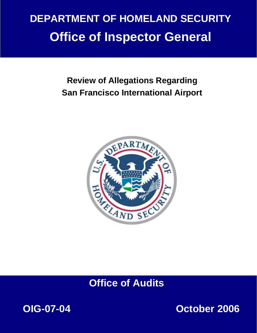# **DEPARTMENT OF HOMELAND SECURITY Office of Inspector General**

# **Review of Allegations Regarding San Francisco International Airport**



# **Office of Audits**



**October 2006**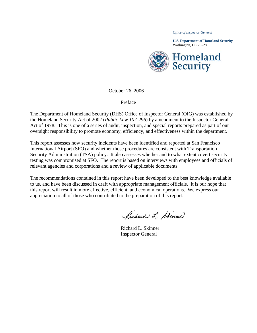*Office of Inspector General* 

**U.S. Department of Homeland Security**  Washington, DC 20528



October 26, 2006

Preface

The Department of Homeland Security (DHS) Office of Inspector General (OIG) was established by the Homeland Security Act of 2002 (*Public Law 107-296*) by amendment to the Inspector General Act of 1978. This is one of a series of audit, inspection, and special reports prepared as part of our oversight responsibility to promote economy, efficiency, and effectiveness within the department.

This report assesses how security incidents have been identified and reported at San Francisco International Airport (SFO) and whether those procedures are consistent with Transportation Security Administration (TSA) policy. It also assesses whether and to what extent covert security testing was compromised at SFO. The report is based on interviews with employees and officials of relevant agencies and corporations and a review of applicable documents.

The recommendations contained in this report have been developed to the best knowledge available to us, and have been discussed in draft with appropriate management officials. It is our hope that this report will result in more effective, efficient, and economical operations. We express our appreciation to all of those who contributed to the preparation of this report.

Richard L. Skinner

Richard L. Skinner Inspector General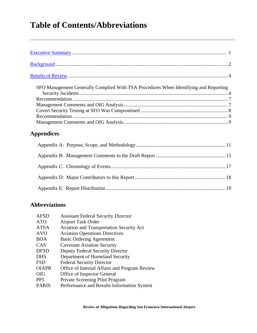# **Table of Contents/Abbreviations**

| SFO Management Generally Complied With TSA Procedures When Identifying and Reporting |  |
|--------------------------------------------------------------------------------------|--|
|                                                                                      |  |
|                                                                                      |  |
|                                                                                      |  |
|                                                                                      |  |
|                                                                                      |  |
|                                                                                      |  |
| <b>Appendices</b>                                                                    |  |
|                                                                                      |  |
|                                                                                      |  |

## **Abbreviations**

| <b>AFSD</b>     | <b>Assistant Federal Security Director</b>      |
|-----------------|-------------------------------------------------|
| <b>ATO</b>      | <b>Airport Task Order</b>                       |
| <b>ATSA</b>     | <b>Aviation and Transportation Security Act</b> |
| <b>AVO</b>      | <b>Aviation Operations Directives</b>           |
| <b>BOA</b>      | <b>Basic Ordering Agreement</b>                 |
| CAS             | <b>Covenant Aviation Security</b>               |
| <b>DFSD</b>     | Deputy Federal Security Director                |
| <b>DHS</b>      | Department of Homeland Security                 |
| <b>FSD</b>      | <b>Federal Security Director</b>                |
| <b>OIAPR</b>    | Office of Internal Affairs and Program Review   |
| <b>OIG</b>      | Office of Inspector General                     |
| PP <sub>5</sub> | Private Screening Pilot Program                 |
| <b>PARIS</b>    | Performance and Results Information System      |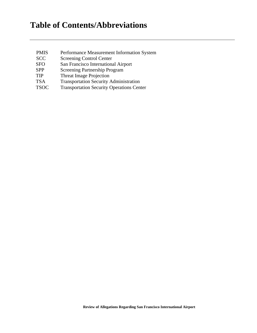# **Table of Contents/Abbreviations**

| Performance Measurement Information System       |
|--------------------------------------------------|
| <b>Screening Control Center</b>                  |
| San Francisco International Airport              |
| <b>Screening Partnership Program</b>             |
| <b>Threat Image Projection</b>                   |
| <b>Transportation Security Administration</b>    |
| <b>Transportation Security Operations Center</b> |
|                                                  |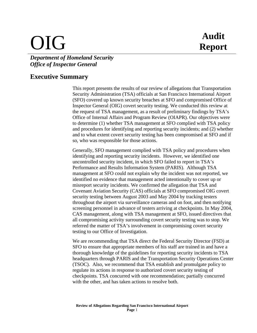# OIG **Audit**

## *Department of Homeland Security Office of Inspector General*

## **Executive Summary**

This report presents the results of our review of allegations that Transportation Security Administration (TSA) officials at San Francisco International Airport (SFO) covered up known security breaches at SFO and compromised Office of Inspector General (OIG) covert security testing. We conducted this review at the request of TSA management, as a result of preliminary findings by TSA's Office of Internal Affairs and Program Review (OIAPR). Our objectives were to determine (1) whether TSA management at SFO complied with TSA policy and procedures for identifying and reporting security incidents; and (2) whether and to what extent covert security testing has been compromised at SFO and if so, who was responsible for those actions.

Generally, SFO management complied with TSA policy and procedures when identifying and reporting security incidents. However, we identified one uncontrolled security incident, in which SFO failed to report in TSA's Performance and Results Information System (PARIS). Although TSA management at SFO could not explain why the incident was not reported, we identified no evidence that management acted intentionally to cover up or misreport security incidents. We confirmed the allegation that TSA and Covenant Aviation Security (CAS) officials at SFO compromised OIG covert security testing between August 2003 and May 2004 by tracking testers throughout the airport via surveillance cameras and on foot, and then notifying screening personnel in advance of testers arriving at checkpoints. In May 2004, CAS management, along with TSA management at SFO, issued directives that all compromising activity surrounding covert security testing was to stop. We referred the matter of TSA's involvement in compromising covert security testing to our Office of Investigation.

We are recommending that TSA direct the Federal Security Director (FSD) at SFO to ensure that appropriate members of his staff are trained in and have a thorough knowledge of the guidelines for reporting security incidents to TSA headquarters through PARIS and the Transportation Security Operations Center (TSOC). Also, we recommend that TSA establish and promulgate policy to regulate its actions in response to authorized covert security testing of checkpoints. TSA concurred with one recommendation; partially concurred with the other, and has taken actions to resolve both.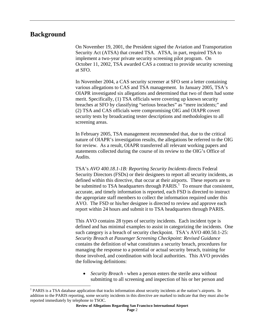## **Background**

 $\overline{a}$ 

On November 19, 2001, the President signed the Aviation and Transportation Security Act (ATSA) that created TSA. ATSA, in part, required TSA to implement a two-year private security screening pilot program. On October 11, 2002, TSA awarded CAS a contract to provide security screening at SFO.

In November 2004, a CAS security screener at SFO sent a letter containing various allegations to CAS and TSA management. In January 2005, TSA's OIAPR investigated six allegations and determined that two of them had some merit. Specifically, (1) TSA officials were covering up known security breaches at SFO by classifying "serious breaches" as "mere incidents;" and (2) TSA and CAS officials were compromising OIG and OIAPR covert security tests by broadcasting tester descriptions and methodologies to all screening areas.

In February 2005, TSA management recommended that, due to the critical nature of OIAPR's investigation results, the allegations be referred to the OIG for review. As a result, OIAPR transferred all relevant working papers and statements collected during the course of its review to the OIG's Office of Audits.

TSA's *AVO 400.18.1-1B: Reporting Security Incidents* directs Federal Security Directors (FSDs) or their designees to report all security incidents, as defined within this directive, that occur at their airports. These reports are to be submitted to TSA headquarters through  $PARIS$ <sup>1</sup>. To ensure that consistent, accurate, and timely information is reported, each FSD is directed to instruct the appropriate staff members to collect the information required under this AVO. The FSD or his/her designee is directed to review and approve each report within 24 hours and submit it to TSA headquarters through PARIS.

This AVO contains 28 types of security incidents. Each incident type is defined and has minimal examples to assist in categorizing the incidents. One such category is a breach of security checkpoint. TSA's AVO 400.50.1-25: *Security Breach at Passenger Screening Checkpoint: Revised Guidance* contains the definition of what constitutes a security breach, procedures for managing the response to a potential or actual security breach, training for those involved, and coordination with local authorities. This AVO provides the following definitions:

• *Security Breach* - when a person enters the sterile area without submitting to all screening and inspection of his or her person and

<sup>&</sup>lt;sup>1</sup> PARIS is a TSA database application that tracks information about security incidents at the nation's airports. In addition to the PARIS reporting, some security incidents in this directive are marked to indicate that they must also be reported immediately by telephone to TSOC.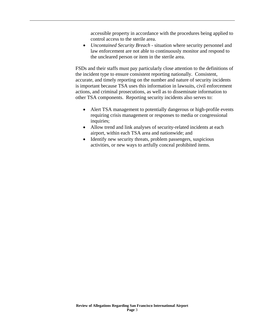accessible property in accordance with the procedures being applied to control access to the sterile area.

• *Uncontained Security Breach* - situation where security personnel and law enforcement are not able to continuously monitor and respond to the uncleared person or item in the sterile area.

FSDs and their staffs must pay particularly close attention to the definitions of the incident type to ensure consistent reporting nationally. Consistent, accurate, and timely reporting on the number and nature of security incidents is important because TSA uses this information in lawsuits, civil enforcement actions, and criminal prosecutions, as well as to disseminate information to other TSA components. Reporting security incidents also serves to:

- Alert TSA management to potentially dangerous or high-profile events requiring crisis management or responses to media or congressional inquiries;
- Allow trend and link analyses of security-related incidents at each airport, within each TSA area and nationwide; and
- Identify new security threats, problem passengers, suspicious activities, or new ways to artfully conceal prohibited items.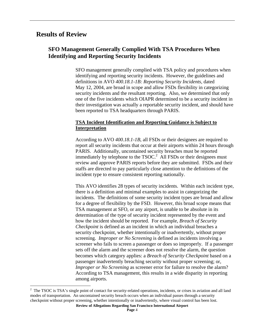## **Results of Review**

1

### **SFO Management Generally Complied With TSA Procedures When Identifying and Reporting Security Incidents**

SFO management generally complied with TSA policy and procedures when identifying and reporting security incidents. However, the guidelines and definitions in AVO *400.18.1-1B: Reporting Security Incidents,* dated May 12, 2004, are broad in scope and allow FSDs flexibility in categorizing security incidents and the resultant reporting. Also, we determined that only one of the five incidents which OIAPR determined to be a security incident in their investigation was actually a reportable security incident, and should have been reported to TSA headquarters through PARIS.

#### **TSA Incident Identification and Reporting Guidance is Subject to Interpretation**

According to AVO *400.18.1-1B,* all FSDs or their designees are required to report all security incidents that occur at their airports within 24 hours through PARIS. Additionally, uncontained security breaches must be reported immediately by telephone to the  $TSOC<sup>2</sup>$ . All FSDs or their designees must review and approve PARIS reports before they are submitted. FSDs and their staffs are directed to pay particularly close attention to the definitions of the incident type to ensure consistent reporting nationally.

This AVO identifies 28 types of security incidents. Within each incident type, there is a definition and minimal examples to assist in categorizing the incidents. The definitions of some security incident types are broad and allow for a degree of flexibility by the FSD. However, this broad scope means that TSA management at SFO, or any airport, is unable to be absolute in its determination of the type of security incident represented by the event and how the incident should be reported. For example, *Breach of Security Checkpoint* is defined as an incident in which an individual breaches a security checkpoint, whether intentionally or inadvertently, without proper screening. *Improper or No Screening* is defined as incidents involving a screener who fails to screen a passenger or does so improperly. If a passenger sets off the alarm and the screener does not resolve the alarm, the question becomes which category applies: a *Breach of Security Checkpoint* based on a passenger inadvertently breaching security without proper screening; or, *Improper or No Screening* as screener error for failure to resolve the alarm? According to TSA management, this results in a wide disparity in reporting among airports.

 $2^2$  The TSOC is TSA's single point of contact for security-related operations, incidents, or crises in aviation and all land modes of transportation. An uncontained security breach occurs when an individual passes through a security checkpoint without proper screening, whether intentionally or inadvertently, where visual control has been lost.

**Review of Allegations Regarding San Francisco International Airport**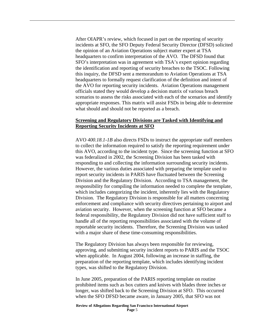After OIAPR's review, which focused in part on the reporting of security incidents at SFO, the SFO Deputy Federal Security Director (DFSD) solicited the opinion of an Aviation Operations subject matter expert at TSA headquarters to confirm interpretation of the AVO. The DFSD found that SFO's interpretation was in agreement with TSA's expert opinion regarding the identification and reporting of security breaches to the TSOC. Following this inquiry, the DFSD sent a memorandum to Aviation Operations at TSA headquarters to formally request clarification of the definition and intent of the AVO for reporting security incidents. Aviation Operations management officials stated they would develop a decision matrix of various breach scenarios to assess the risks associated with each of the scenarios and identify appropriate responses. This matrix will assist FSDs in being able to determine what should and should not be reported as a breach.

#### **Screening and Regulatory Divisions are Tasked with Identifying and Reporting Security Incidents at SFO**

AVO *400.18.1-1B* also directs FSDs to instruct the appropriate staff members to collect the information required to satisfy the reporting requirement under this AVO, according to the incident type. Since the screening function at SFO was federalized in 2002, the Screening Division has been tasked with responding to and collecting the information surrounding security incidents. However, the various duties associated with preparing the template used to report security incidents in PARIS have fluctuated between the Screening Division and the Regulatory Division. According to TSA management, the responsibility for compiling the information needed to complete the template, which includes categorizing the incident, inherently lies with the Regulatory Division. The Regulatory Division is responsible for all matters concerning enforcement and compliance with security directives pertaining to airport and aviation security. However, when the screening function at SFO became a federal responsibility, the Regulatory Division did not have sufficient staff to handle all of the reporting responsibilities associated with the volume of reportable security incidents. Therefore, the Screening Division was tasked with a major share of these time-consuming responsibilities.

The Regulatory Division has always been responsible for reviewing, approving, and submitting security incident reports to PARIS and the TSOC when applicable. In August 2004, following an increase in staffing, the preparation of the reporting template, which includes identifying incident types, was shifted to the Regulatory Division.

In June 2005, preparation of the PARIS reporting template on routine prohibited items such as box cutters and knives with blades three inches or longer, was shifted back to the Screening Division at SFO. This occurred when the SFO DFSD became aware, in January 2005, that SFO was not

**Review of Allegations Regarding San Francisco International Airport Page** 5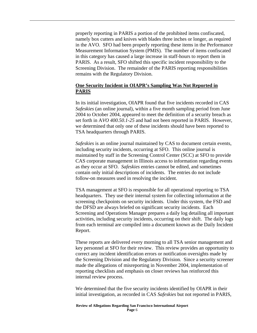properly reporting in PARIS a portion of the prohibited items confiscated, namely box cutters and knives with blades three inches or longer, as required in the AVO. SFO had been properly reporting these items in the Performance Measurement Information System (PMIS). The number of items confiscated in this category has caused a large increase in staff-hours to report them in PARIS. As a result, SFO shifted this specific incident responsibility to the Screening Division. The remainder of the PARIS reporting responsibilities remains with the Regulatory Division.

#### **One Security Incident in OIAPR's Sampling Was Not Reported in PARIS**

In its initial investigation, OIAPR found that five incidents recorded in CAS *Safeskies* (an online journal), within a five month sampling period from June 2004 to October 2004, appeared to meet the definition of a security breach as set forth in A*VO 400.50.1-25* and had not been reported in PARIS. However, we determined that only one of these incidents should have been reported to TSA headquarters through PARIS.

*Safeskies* is an online journal maintained by CAS to document certain events, including security incidents, occurring at SFO. This online journal is maintained by staff in the Screening Control Center (SCC) at SFO to provide CAS corporate management in Illinois access to information regarding events as they occur at SFO. *Safeskies* entries cannot be edited, and sometimes contain only initial descriptions of incidents. The entries do not include follow-on measures used in resolving the incident.

TSA management at SFO is responsible for all operational reporting to TSA headquarters. They use their internal system for collecting information at the screening checkpoints on security incidents. Under this system, the FSD and the DFSD are always briefed on significant security incidents. Each Screening and Operations Manager prepares a daily log detailing all important activities, including security incidents, occurring on their shift. The daily logs from each terminal are compiled into a document known as the Daily Incident Report.

These reports are delivered every morning to all TSA senior management and key personnel at SFO for their review. This review provides an opportunity to correct any incident identification errors or notification oversights made by the Screening Division and the Regulatory Division. Since a security screener made the allegations of misreporting in November 2004, implementation of reporting checklists and emphasis on closer reviews has reinforced this internal review process.

We determined that the five security incidents identified by OIAPR in their initial investigation, as recorded in CAS *Safeskies* but not reported in PARIS,

**Review of Allegations Regarding San Francisco International Airport Page** 6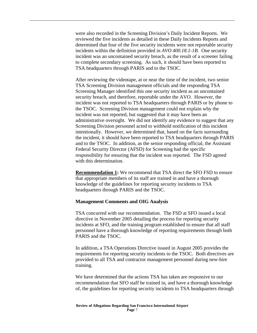were also recorded in the Screening Division's Daily Incident Reports. We reviewed the five incidents as detailed in these Daily Incidents Reports and determined that four of the five security incidents were not reportable security incidents within the definition provided in *AVO 400.18.1-1B.* One security incident was an uncontained security breach, as the result of a screener failing to complete secondary screening. As such, it should have been reported to TSA headquarters through PARIS and to the TSOC.

After reviewing the videotape, at or near the time of the incident, two senior TSA Screening Division management officials and the responding TSA Screening Manager identified this one security incident as an uncontained security breach, and therefore, reportable under the AVO. However, the incident was not reported to TSA headquarters through PARIS or by phone to the TSOC. Screening Division management could not explain why the incident was not reported, but suggested that it may have been an administrative oversight. We did not identify any evidence to suggest that any Screening Division personnel acted to withhold notification of this incident intentionally. However, we determined that, based on the facts surrounding the incident, it should have been reported to TSA headquarters through PARIS and to the TSOC. In addition, as the senior responding official, the Assistant Federal Security Director (AFSD) for Screening had the specific responsibility for ensuring that the incident was reported. The FSD agreed with this determination.

**Recommendation 1:** We recommend that TSA direct the SFO FSD to ensure that appropriate members of its staff are trained in and have a thorough knowledge of the guidelines for reporting security incidents to TSA headquarters through PARIS and the TSOC.

#### **Management Comments and OIG Analysis**

TSA concurred with our recommendation. The FSD at SFO issued a local directive in November 2005 detailing the process for reporting security incidents at SFO, and the training program established to ensure that all staff personnel have a thorough knowledge of reporting requirements through both PARIS and the TSOC.

In addition, a TSA Operations Directive issued in August 2005 provides the requirements for reporting security incidents to the TSOC. Both directives are provided to all TSA and contractor management personnel during new-hire training.

We have determined that the actions TSA has taken are responsive to our recommendation that SFO staff be trained in, and have a thorough knowledge of, the guidelines for reporting security incidents to TSA headquarters through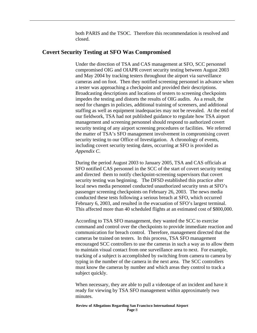both PARIS and the TSOC. Therefore this recommendation is resolved and closed.

#### **Covert Security Testing at SFO Was Compromised**

Under the direction of TSA and CAS management at SFO, SCC personnel compromised OIG and OIAPR covert security testing between August 2003 and May 2004 by tracking testers throughout the airport via surveillance cameras and on foot. Then they notified screening personnel in advance when a tester was approaching a checkpoint and provided their descriptions. Broadcasting descriptions and locations of testers to screening checkpoints impedes the testing and distorts the results of OIG audits. As a result, the need for changes in policies, additional training of screeners, and additional staffing as well as equipment inadequacies may not be revealed. At the end of our fieldwork, TSA had not published guidance to regulate how TSA airport management and screening personnel should respond to authorized covert security testing of any airport screening procedures or facilities. We referred the matter of TSA's SFO management involvement in compromising covert security testing to our Office of Investigation. A chronology of events, including covert security testing dates, occurring at SFO is provided as *Appendix C*.

During the period August 2003 to January 2005, TSA and CAS officials at SFO notified CAS personnel in the SCC of the start of covert security testing and directed them to notify checkpoint-screening supervisors that covert security testing was beginning. The DFSD established this practice after local news media personnel conducted unauthorized security tests at SFO's passenger screening checkpoints on February 26, 2003. The news media conducted these tests following a serious breach at SFO, which occurred February 6, 2003, and resulted in the evacuation of SFO's largest terminal. This affected more than 40 scheduled flights at an estimated cost of \$800,000.

According to TSA SFO management, they wanted the SCC to exercise command and control over the checkpoints to provide immediate reaction and communication for breach control. Therefore, management directed that the cameras be trained on testers. In this process, TSA SFO management encouraged SCC controllers to use the cameras in such a way as to allow them to maintain visual contact from one surveillance area to next. For example, tracking of a subject is accomplished by switching from camera to camera by typing in the number of the camera in the next area. The SCC controllers must know the cameras by number and which areas they control to track a subject quickly.

When necessary, they are able to pull a videotape of an incident and have it ready for viewing by TSA SFO management within approximately two minutes.

**Review of Allegations Regarding San Francisco International Airport Page** 8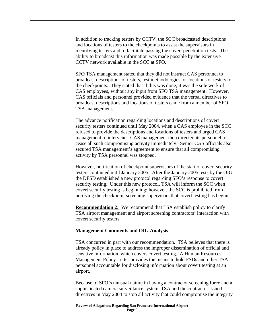In addition to tracking testers by CCTV, the SCC broadcasted descriptions and locations of testers to the checkpoints to assist the supervisors in identifying testers and to facilitate passing the covert penetration tests. The ability to broadcast this information was made possible by the extensive CCTV network available in the SCC at SFO.

SFO TSA management stated that they did not instruct CAS personnel to broadcast descriptions of testers, test methodologies, or locations of testers to the checkpoints. They stated that if this was done, it was the sole work of CAS employees, without any input from SFO TSA management. However, CAS officials and personnel provided evidence that the verbal directives to broadcast descriptions and locations of testers came from a member of SFO TSA management.

The advance notification regarding locations and descriptions of covert security testers continued until May 2004, when a CAS employee in the SCC refused to provide the descriptions and locations of testers and urged CAS management to intervene. CAS management then directed its personnel to cease all such compromising activity immediately. Senior CAS officials also secured TSA management's agreement to ensure that all compromising activity by TSA personnel was stopped.

However, notification of checkpoint supervisors of the start of covert security testers continued until January 2005. After the January 2005 tests by the OIG, the DFSD established a new protocol regarding SFO's response to covert security testing. Under this new protocol, TSA will inform the SCC when covert security testing is beginning; however, the SCC is prohibited from notifying the checkpoint screening supervisors that covert testing has begun.

**Recommendation 2:** We recommend that TSA establish policy to clarify TSA airport management and airport screening contractors' interaction with covert security testers.

#### **Management Comments and OIG Analysis**

TSA concurred in part with our recommendation. TSA believes that there is already policy in place to address the improper dissemination of official and sensitive information, which covers covert testing. A Human Resources Management Policy Letter provides the means to hold FSDs and other TSA personnel accountable for disclosing information about covert testing at an airport.

Because of SFO's unusual nature in having a contractor screening force and a sophisticated camera surveillance system, TSA and the contractor issued directives in May 2004 to stop all activity that could compromise the integrity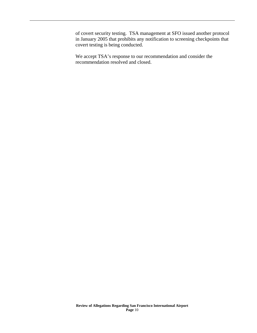of covert security testing. TSA management at SFO issued another protocol in January 2005 that prohibits any notification to screening checkpoints that covert testing is being conducted.

We accept TSA's response to our recommendation and consider the recommendation resolved and closed.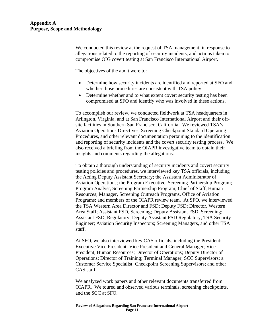We conducted this review at the request of TSA management, in response to allegations related to the reporting of security incidents, and actions taken to compromise OIG covert testing at San Francisco International Airport.

The objectives of the audit were to:

- Determine how security incidents are identified and reported at SFO and whether those procedures are consistent with TSA policy.
- Determine whether and to what extent covert security testing has been compromised at SFO and identify who was involved in these actions.

To accomplish our review, we conducted fieldwork at TSA headquarters in Arlington, Virginia, and at San Francisco International Airport and their offsite facilities in Southern San Francisco, California. We reviewed TSA's Aviation Operations Directives, Screening Checkpoint Standard Operating Procedures, and other relevant documentation pertaining to the identification and reporting of security incidents and the covert security testing process. We also received a briefing from the OIAPR investigative team to obtain their insights and comments regarding the allegations.

To obtain a thorough understanding of security incidents and covert security testing policies and procedures, we interviewed key TSA officials, including the Acting Deputy Assistant Secretary; the Assistant Administrator of Aviation Operations; the Program Executive, Screening Partnership Program; Program Analyst, Screening Partnership Program; Chief of Staff, Human Resources; Manager, Screening Outreach Programs, Office of Aviation Programs; and members of the OIAPR review team. At SFO, we interviewed the TSA Western Area Director and FSD; Deputy FSD; Director, Western Area Staff; Assistant FSD, Screening; Deputy Assistant FSD, Screening; Assistant FSD, Regulatory; Deputy Assistant FSD Regulatory; TSA Security Engineer; Aviation Security Inspectors; Screening Managers, and other TSA staff.

At SFO, we also interviewed key CAS officials, including the President; Executive Vice President; Vice President and General Manager; Vice President, Human Resources; Director of Operations; Deputy Director of Operations; Director of Training; Terminal Manager; SCC Supervisors; a Customer Service Specialist; Checkpoint Screening Supervisors; and other CAS staff.

We analyzed work papers and other relevant documents transferred from OIAPR. We toured and observed various terminals, screening checkpoints, and the SCC at SFO.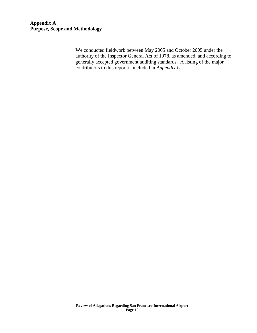We conducted fieldwork between May 2005 and October 2005 under the authority of the Inspector General Act of 1978, as amended, and according to generally accepted government auditing standards. A listing of the major contributors to this report is included in *Appendix C.*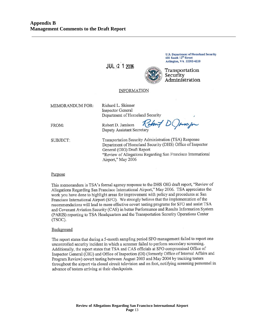JUL 12 1 2006



**U.S. Department of Homeland Security** 601 South 12<sup>th</sup> Street Arlington, VA 22202-4220

Transportation Security Administration

#### **INFORMATION**

| <b>MEMORANDUM FOR:</b> | Richard L. Skinner<br><b>Inspector General</b>                                                                                                                                                                                         |
|------------------------|----------------------------------------------------------------------------------------------------------------------------------------------------------------------------------------------------------------------------------------|
|                        | Department of Homeland Security                                                                                                                                                                                                        |
| FROM:                  | Robert D. Jamison Rebut DOmnifr<br>Deputy Assistant Secretary                                                                                                                                                                          |
| SUBJECT:               | Transportation Security Administration (TSA) Response<br>Department of Homeland Security (DHS) Office of Inspector<br>General (OIG) Draft Report<br>"Review of Allegations Regarding San Francisco International<br>Airport," May 2006 |

#### Purpose

This memorandum is TSA's formal agency response to the DHS OIG draft report, "Review of Allegations Regarding San Francisco International Airport," May 2006. TSA appreciates the work you have done to highlight areas for improvement with policy and procedures at San Francisco International Airport (SFO). We strongly believe that the implementation of the recommendations will lead to more effective covert testing programs for SFO and assist TSA and Covenant Aviation Security (CAS) in better Performance and Results Information System (PARIS) reporting to TSA Headquarters and the Transportation Security Operations Center (TSOC).

#### Background

The report states that during a 5-month sampling period SFO management failed to report one uncontrolled security incident in which a screener failed to perform secondary screening. Additionally, the report states that TSA and CAS officials at SFO compromised Office of Inspector General (OIG) and Office of Inspection (OI) (formerly Office of Internal Affairs and Program Review) covert testing between August 2003 and May 2004 by tracking testers throughout the airport via closed circuit television and on foot, notifying screening personnel in advance of testers arriving at their checkpoints.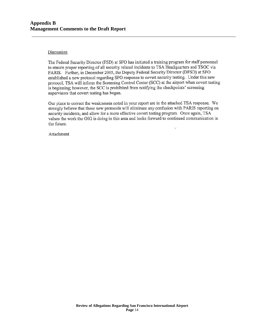#### Discussion

The Federal Security Director (FSD) at SFO has initiated a training program for staff personnel to ensure proper reporting of all security related incidents to TSA Headquarters and TSOC via PARIS. Further, in December 2005, the Deputy Federal Security Director (DFSD) at SFO established a new protocol regarding SFO response to covert security testing. Under this new protocol, TSA will inform the Screening Control Center (SCC) at the airport when covert testing is beginning; however, the SCC is prohibited from notifying the checkpoints' screening supervisors that covert testing has begun.

Our plans to correct the weaknesses noted in your report are in the attached TSA response. We strongly believe that these new protocols will eliminate any confusion with PARIS reporting on security incidents, and allow for a more effective covert testing program. Once again, TSA values the work the OIG is doing in this area and looks forward to continued communication in the future. v.

Attachment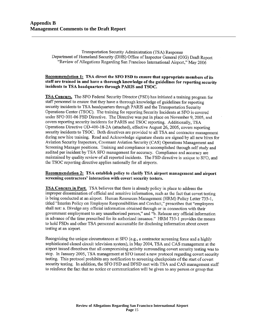Transportation Security Administration (TSA) Response Department of Homeland Security (DHS) Office of Inspector General (OIG) Draft Report "Review of Allegations Regarding San Francisco International Airport," May 2006

#### Recommendation 1: TSA direct the SFO FSD to ensure that appropriate members of its staff are trained in and have a thorough knowledge of the guidelines for reporting security incidents to TSA headquarters through PARIS and TSOC.

**TSA Concurs.** The SFO Federal Security Director (FSD) has initiated a training program for staff personnel to ensure that they have a thorough knowledge of guidelines for reporting security incidents to TSA headquarters through PARIS and the Transportation Security Operations Center (TSOC). The training for reporting Security Incidents at SFO is covered under SFO 001-06 FSD Directive. The Directive was put in place on November 9, 2005, and covers reporting security incidents for PARIS and TSOC reporting. Additionally, TSA Operations Directive OD-400-18-2A (attached), effective August 26, 2005, covers reporting security incidents to TSOC. Both directives are provided to all TSA and contractor management during new hire training. Read and Acknowledge signature sheets are signed by all new hires for Aviation Security Inspectors, Covenant Aviation Security (CAS) Operations Management and Screening Manager positions. Training and compliance is accomplished through self study and audited per incident by TSA SFO management for accuracy. Compliance and accuracy are maintained by quality review of all reported incidents. The FSD directive is unique to SFO, and the TSOC reporting directive applies nationally for all airports.

#### Recommendation 2: TSA establish policy to clarify TSA airport management and airport screening contractors' interaction with covert security testers.

**TSA Concurs in Part.** TSA believes that there is already policy in place to address the improper dissemination of official and sensitive information, such as the fact that covert testing is being conducted at an airport. Human Resources Management (HRM) Policy Letter 735-1, titled "Interim Policy on Employee Responsibilities and Conduct," prescribes that "employees" shall not: a. Divulge any official information obtained through or in connection with their government employment to any unauthorized person," and "b. Release any official information in advance of the time prescribed for its authorized issuance." HRM 735-1 provides the means to hold FSDs and other TSA personnel accountable for disclosing information about covert testing at an airport.

Recognizing the unique circumstances at SFO (e.g., a contractor screening force and a highly sophisticated closed circuit television system), in May 2004, TSA and CAS management at the airport issued directives that all compromising activity surrounding covert security testing was to stop. In January 2005, TSA management at SFO issued a new protocol regarding covert security testing. This protocol prohibits any notification to screening checkpoints of the start of covert security testing. In addition, the SFO FSD and DFSD met with TSA and CAS management staff to reinforce the fact that no notice or communication will be given to any person or group that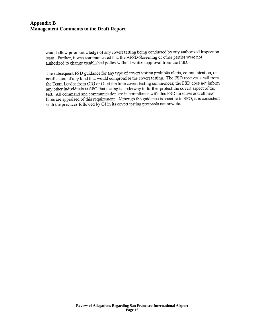would allow prior knowledge of any covert testing being conducted by any authorized inspection team. Further, it was communicated that the AFSD-Screening or other parties were not authorized to change established policy without written approval from the FSD.

The subsequent FSD guidance for any type of covert testing prohibits alerts, communication, or notification of any kind that would compromise the covert testing. The FSD receives a call from the Team Leader from OIG or OI at the time covert testing commences; the FSD does not inform any other individuals at SFO that testing is underway to further protect the covert aspect of the test. All command and communication are in compliance with this FSD directive and all new hires are appraised of this requirement. Although the guidance is specific to SFO, it is consistent with the practices followed by OI in its covert testing protocols nationwide.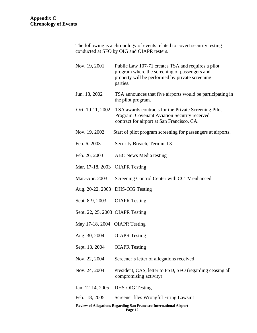The following is a chronology of events related to covert security testing conducted at SFO by OIG and OIAPR testers.

| Nov. 19, 2001                                                       | Public Law 107-71 creates TSA and requires a pilot<br>program where the screening of passengers and<br>property will be performed by private screening<br>parties. |  |  |
|---------------------------------------------------------------------|--------------------------------------------------------------------------------------------------------------------------------------------------------------------|--|--|
| Jun. 18, 2002                                                       | TSA announces that five airports would be participating in<br>the pilot program.                                                                                   |  |  |
| Oct. 10-11, 2002                                                    | TSA awards contracts for the Private Screening Pilot<br>Program. Covenant Aviation Security received<br>contract for airport at San Francisco, CA.                 |  |  |
| Nov. 19, 2002                                                       | Start of pilot program screening for passengers at airports.                                                                                                       |  |  |
| Feb. 6, 2003                                                        | Security Breach, Terminal 3                                                                                                                                        |  |  |
| Feb. 26, 2003                                                       | <b>ABC</b> News Media testing                                                                                                                                      |  |  |
| Mar. 17-18, 2003 OIAPR Testing                                      |                                                                                                                                                                    |  |  |
| Mar.-Apr. 2003                                                      | Screening Control Center with CCTV enhanced                                                                                                                        |  |  |
|                                                                     | Aug. 20-22, 2003 DHS-OIG Testing                                                                                                                                   |  |  |
| Sept. 8-9, 2003                                                     | <b>OIAPR</b> Testing                                                                                                                                               |  |  |
| Sept. 22, 25, 2003 OIAPR Testing                                    |                                                                                                                                                                    |  |  |
| May 17-18, 2004 OIAPR Testing                                       |                                                                                                                                                                    |  |  |
| Aug. 30, 2004                                                       | <b>OIAPR</b> Testing                                                                                                                                               |  |  |
| Sept. 13, 2004                                                      | <b>OIAPR</b> Testing                                                                                                                                               |  |  |
| Nov. 22, 2004                                                       | Screener's letter of allegations received                                                                                                                          |  |  |
| Nov. 24, 2004                                                       | President, CAS, letter to FSD, SFO (regarding ceasing all<br>compromising activity)                                                                                |  |  |
| Jan. 12-14, 2005                                                    | <b>DHS-OIG Testing</b>                                                                                                                                             |  |  |
| Feb. 18, 2005                                                       | Screener files Wrongful Firing Lawsuit                                                                                                                             |  |  |
| Review of Allegations Regarding San Francisco International Airport |                                                                                                                                                                    |  |  |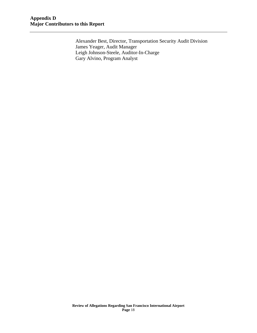Alexander Best, Director, Transportation Security Audit Division James Yeager, Audit Manager Leigh Johnson-Steele, Auditor-In-Charge Gary Alvino, Program Analyst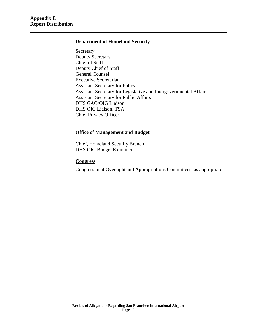#### **Department of Homeland Security**

Secretary Deputy Secretary Chief of Staff Deputy Chief of Staff General Counsel Executive Secretariat Assistant Secretary for Policy Assistant Secretary for Legislative and Intergovernmental Affairs Assistant Secretary for Public Affairs DHS GAO/OIG Liaison DHS OIG Liaison, TSA Chief Privacy Officer

#### **Office of Management and Budget**

Chief, Homeland Security Branch DHS OIG Budget Examiner

#### **Congress**

Congressional Oversight and Appropriations Committees, as appropriate